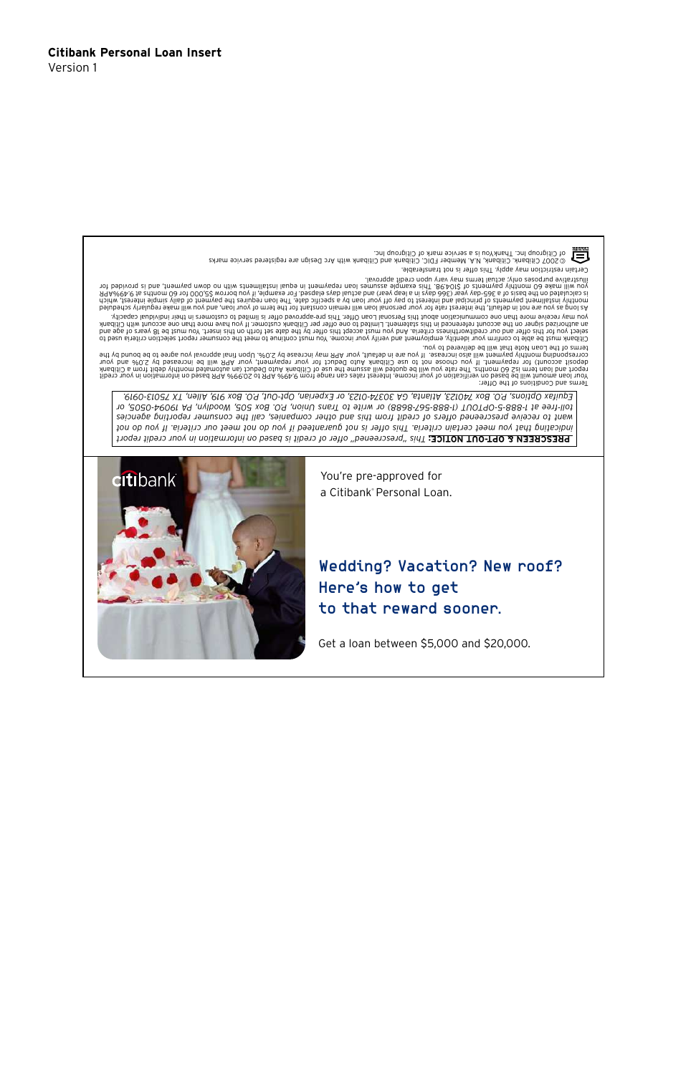

Get a loan between \$5,000 and \$20,000.

### Wedding? Vacation? New roof? Here's how to get to that reward sooner.

You're pre-approved for a Citibank® Personal Loan.

Equifax Options, P.O. Box 740123, Atlanta, GA 30374-0123, or Experian, Opt-Out, P.O. Box 919, Allen, TX 75013-0919. toll-free at 1-888-5-0PTOUT (1-888-567-8688) or write to Trans Union, P.O. Box 505, Woodlyn, PA 19094-0505, or want to receive prescreened offers of credit from this and other companies, call the consumer reporting agencies indicating that you meet certain criteria. This offer is not guaranteed if you do not meet our criteria. If you do not PRESCREEN & OPT-OUT NOTICE: This "prescreened" offer of credit is based on information in your credit report

Terms and Conditions of the Offer:

E

report and loan term is2 60 months. The rate you will be quoted will assume the use of Citibank Auto Deduct (an automated monthly debit from a Citibank<br>deposit account) for repayment. If you choose not to use Citibank Auto tibeno nuov ni noitemnotni no bezad RAA % ROS of RAA % RA. Omort epons nas estas tasnetni amosni nuov to noitesitinev no bezad ed lliw truoma naol nuoV

Citibank must be able to confirm your identity, employment and verify you nust continue to meet the consumer report selection criteria used to terms of the Loan Note that will be delivered to you.

you may receive more than one communication about this Personal Loan Offer. This pre-approved offer is limited to customers in their individual capacity.<br>You may receive more than one communication about this Personal Loan select you for this offer and our creditrouthiness criteria. And you must accept this offer by the date set forth on this insert. You must be years of age and

As long as you are not in default, the interest rate for your personal loan will remain constant for the term of your loan, and you will make regularly scheduled

you will make of monthly payments of \$104.98. Filis example assumes loans in the equal installments in the make of the form payment, and is provided for monthly installment payments of principal and interest to pay off your loan by a specific date. The loan requires the payment of daily simple interest, which<br>Realisting to the payments of principal and interest to pay off

of Citigroup Inc. ThankYou is a service mark of Citigroup Inc. © 2007 Citibank. Citibank. N.A. Member FDIC. Citibank and Citibank with Arc Design are registered service marks Gertain restriction may apply. This offer is not transferable. illustrative purposes only; actual terms may vary upon credit approval.

**Citibank Personal Loan Insert** Version 1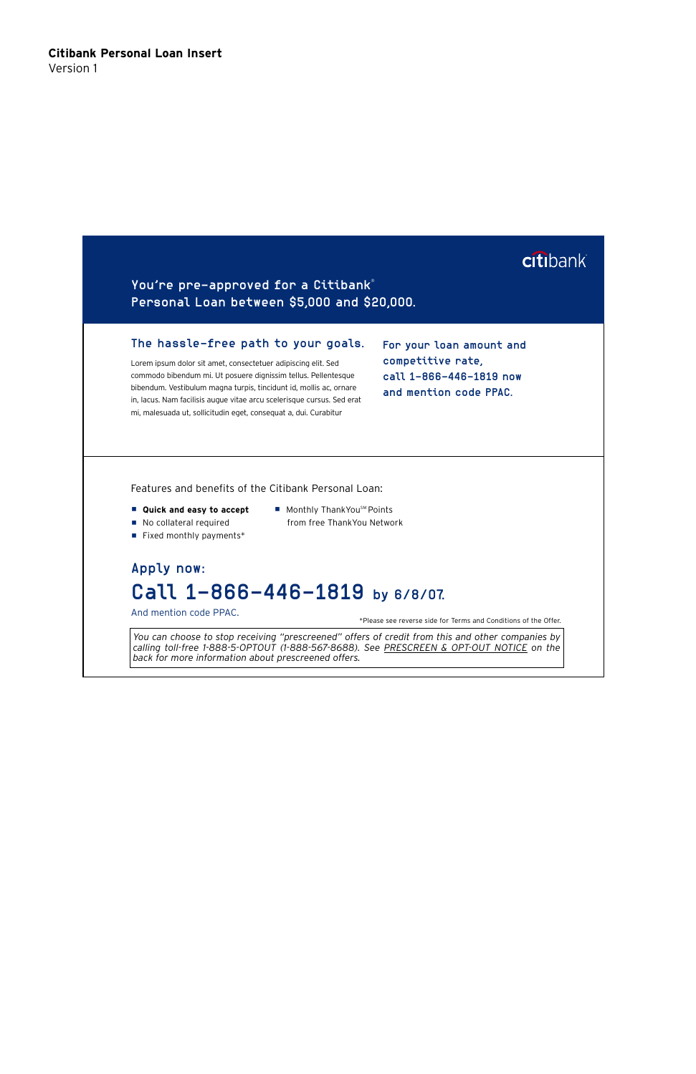And mention code PPAC.

*You can choose to stop receiving "prescreened" offers of credit from this and other companies by calling toll-free 1-888-5-OPTOUT (1-888-567-8688). See PRESCREEN & OPT-OUT NOTICE on the back for more information about prescreened offers.* 

from free ThankYou Network

# Apply now: Call 1-866-446-1819 by 6/8/07.

\*Please see reverse side for Terms and Conditions of the Offer.

Features and benefits of the Citibank Personal Loan:

- Quick and easy to accept
- Monthly ThankYou<sup>SM</sup> Points
- $\blacksquare$  Fixed monthly payments\*

No collateral required

#### You're pre-approved for a Citibank® Personal Loan between \$5,000 and \$20,000.

#### The hassle-free path to your goals.

Lorem ipsum dolor sit amet, consectetuer adipiscing elit. Sed commodo bibendum mi. Ut posuere dignissim tellus. Pellentesque bibendum. Vestibulum magna turpis, tincidunt id, mollis ac, ornare in, lacus. Nam facilisis augue vitae arcu scelerisque cursus. Sed erat mi, malesuada ut, sollicitudin eget, consequat a, dui. Curabitur

For your loan amount and competitive rate, call 1-866-446-1819 now and mention code PPAC.

#### **Citibank Personal Loan Insert** Version 1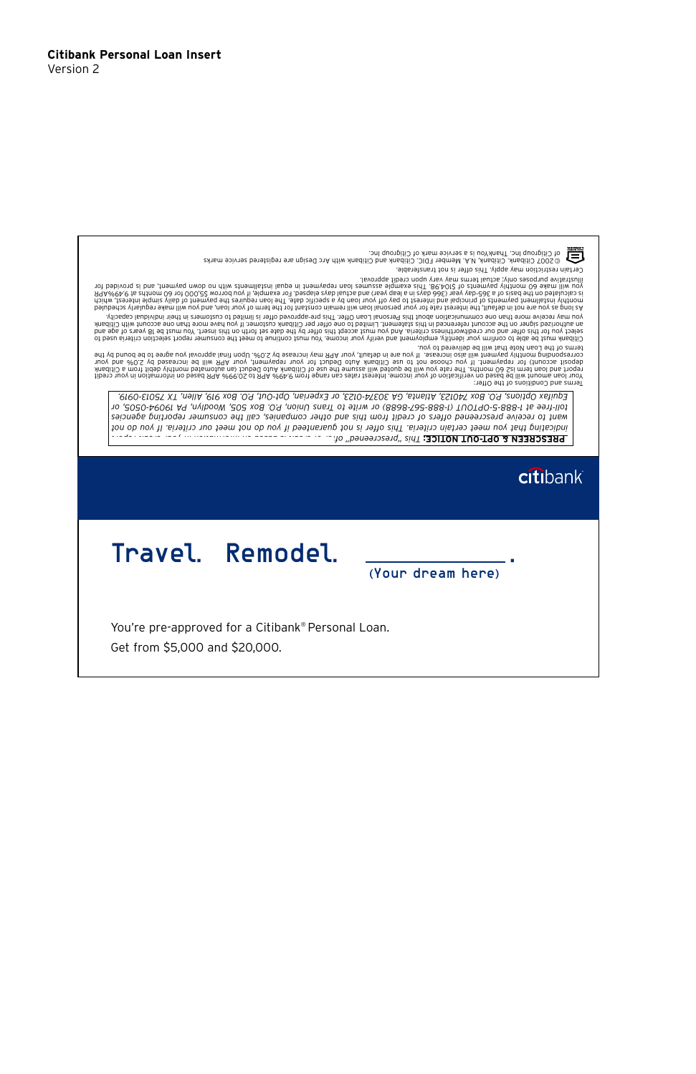You're pre-approved for a Citibank® Personal Loan. Get from \$5,000 and \$20,000.

### (Your dream here)

# Travel Remodel

# citibank

want to receive prescreened offers of credit from this and other companies, call the consumer reporting agencies indicating that you meet certain criteria. This offer is not guaranteed if you do not meet our criteria. If you do not **PRESCREEN & OPT-OUT NOTICE:** This "prescreened" ofice a complete the contract of the contract of the contract of

Equifax Options, P.O. Box 740123, Atansh GA 30374-0123, or Experian, Opt-0ut, P.O. Box 919, Allen, TX 75013-0919. toll-free at 1-888-5-0PTOUT (1-888-567-8688) or write to Trans Union, P.O. Box 505, Woodlyn, PA 19094-0505, or

Tibera nov ni novi sed stall in be based Aquito the presence, limit and the Asia of the Apple to So99% APP based on information in your credit Terms and Conditions of the Offer:

Citibank must be able to confirm your identity, employment and verify you nust and the comal the comally consumer report selection criteria used to terms of the Loan Note that will be delivered to you. report and loan term is2 60 months. The rate you will be quoted will assume the use of Citibank Auto Deduct (an automated monthly debit from a Citibank<br>deposit account) for repayment. If you choose not to use Citibank Auto

select you for this offer and our creditory houses criteria. And you must accept this offer by the date set forth on this insert. You must be years of age and

As long as you are not in default, the interest rate for your personal loan will remain constant for the term of your loan, and you will make regularly scheduled you may receive more than one communication about this Personal Loan Offer. This pre-approved offer is limited to customers in their individual capacity.<br>You may receive more than one communication about this Personal Loan

you will make 60 monthly payments of \$104.98. This example assumes loan repart in the right instantional bayment, and is provided for monthly installment payments of principal and interest to pay off your loan by a specific date. The loan requires the payment of daily simple interest, which<br>Realistic and the payments of principal and interest to pay off

illustrative purposes only; actual terms may vary upon credit approval.

O 2007 Citigroup Inc. ThankYou is a service mark of Citigroup Inc.<br>
So 2007 Citigroup Inc. Thankyou is a service mark of Citigroup Inc. Gertain restriction may apply. This offer is not transferable.

Version 2

**Citibank Personal Loan Insert**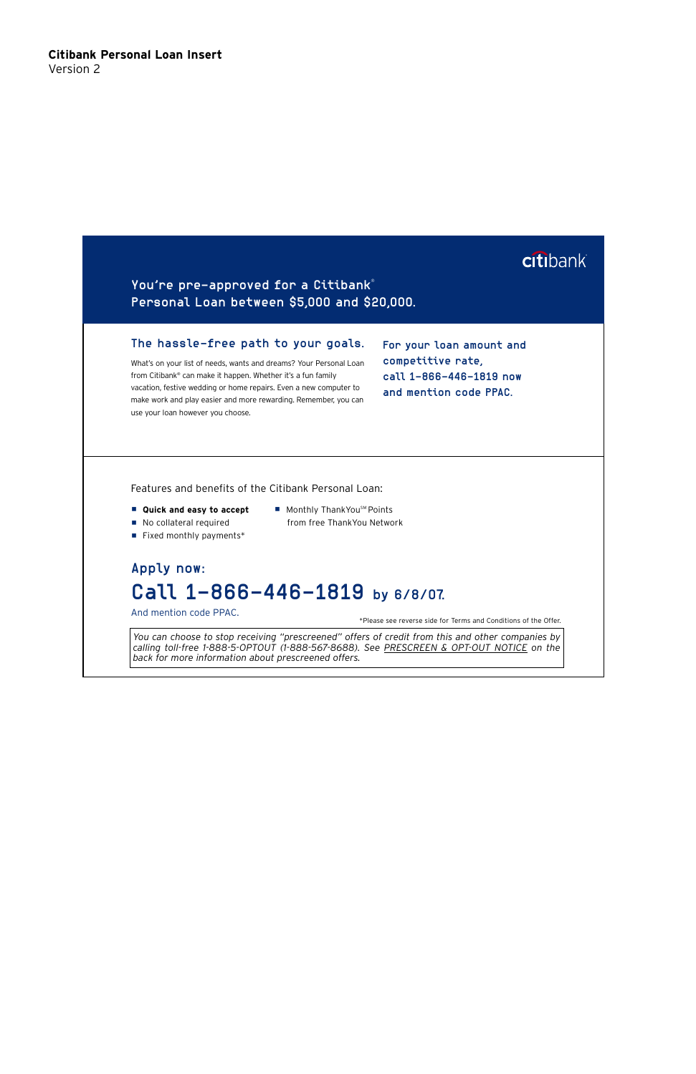And mention code PPAC.

*You can choose to stop receiving "prescreened" offers of credit from this and other companies by calling toll-free 1-888-5-OPTOUT (1-888-567-8688). See PRESCREEN & OPT-OUT NOTICE on the back for more information about prescreened offers.* 

from free ThankYou Network

# Apply now: Call 1-866-446-1819 by 6/8/07.

\*Please see reverse side for Terms and Conditions of the Offer.

### You're pre-approved for a Citibank® Personal Loan between \$5,000 and \$20,000.

Features and benefits of the Citibank Personal Loan:

- Quick and easy to accept
- Monthly ThankYou<sup>SM</sup> Points
- $\blacksquare$  Fixed monthly payments\*

No collateral required

#### The hassle-free path to your goals.

What's on your list of needs, wants and dreams? Your Personal Loan from Citibank® can make it happen. Whether it's a fun family vacation, festive wedding or home repairs. Even a new computer to make work and play easier and more rewarding. Remember, you can use your loan however you choose.

For your loan amount and competitive rate, call 1-866-446-1819 now and mention code PPAC.

#### **Citibank Personal Loan Insert** Version 2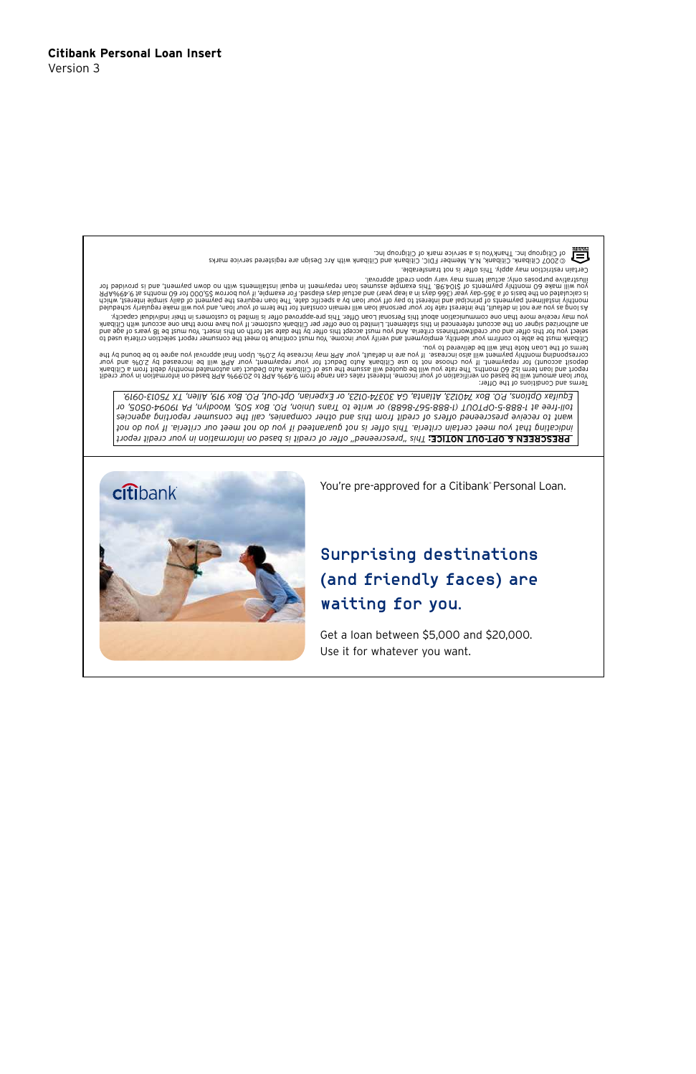Get a loan between \$5,000 and \$20,000. Use it for whatever you want.

# **Surprising destinations** (and friendly faces) are waiting for you.

You're pre-approved for a Citibank® Personal Loan.

of Citigroup Inc. ThankYou is a service mark of Citigroup Inc.

illustrative purposes only; actual terms may vary upon credit approval.

Certain restriction may apply. This offer is not transferable.

PRESCREEN & OPT-OUT NOTICE: This "prescreened" offer of credit is based on information in your credit report

want to receive prescreened offers of credit from this and other companies, call the consumer reporting agencies indicating that you meet certain criteria. This offer is not guaranteed if you do not meet our criteria. If you do not

1 beno nuo nuo distanto di molto della molto di mondiale di controlla di che seperato di mondiale di conditato di crediti di crediti di crediti di creditato di di crediti di crediti di crediti di crediti di crediti di cred Terms and Conditions of the Offer: Equifax Options, RO. Box 740123, Atalahia, GA 30374-0123, or Experian, Opt-0ut, P.O. Box 919, Allen, TX 75013-0919. toll-free at 1-888-5-0PTOUT (1-888-567-8688) or write to Trans Union, P.O. Box 505, Woodlyn, PA 19094-0505, or

you will make of monthly payments of \$104.98. Filis example assumes loans in the equal installments in the make of the form payment, and is provided for monthly installment payments of principal and interest to pay off your loan by a specific date. The loan requires the payment of daily simple interest, which<br>Realisting to the payments of principal and interest to pay off As long as you are not in default, the interest rate for your personal loan will remain constant for the term of your loan, and you will make regularly scheduled you may receive more than one communication about this Personal Loan Offer. This pre-approved offer is limited to customers in their individual capacity.<br>You may receive more than one communication about this Personal Loan select you for this offer and our creditrouthiness criteria. And you must accept this offer by the date set forth on this insert. You must be years of age and

© 2007 Citibank. Citibank. N.A. Member FDIC. Citibank and Citibank with Arc Design are registered service marks

Citibank must be able to confirm your identity, employment and verify you nust continue to meet the consumer report selection criteria used to terms of the Loan Note that will be delivered to you. report and loan term is2 60 months. The rate you will be quoted will assume the use of Citibank Auto Deduct (an automated monthly debit from a Citibank<br>deposit account) for repayment. If you choose not to use Citibank Auto

**Citibank Personal Loan Insert** Version 3